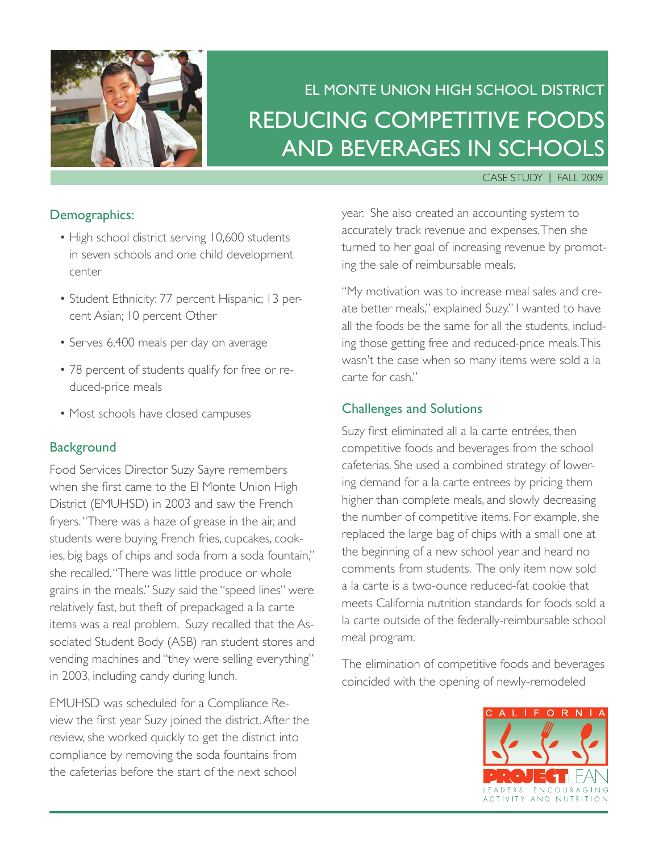

# El Monte Union High School District Reducing Competitive Foods and Beverages in Schools

#### Case Study | FALL 2009

#### Demographics:

- High school district serving 10,600 students in seven schools and one child development center
- Student Ethnicity: 77 percent Hispanic; 13 percent Asian; 10 percent Other
- Serves 6,400 meals per day on average
- 78 percent of students qualify for free or reduced-price meals
- Most schools have closed campuses

#### **Background**

Food Services Director Suzy Sayre remembers when she first came to the El Monte Union High District (EMUHSD) in 2003 and saw the French fryers. "There was a haze of grease in the air, and students were buying French fries, cupcakes, cookies, big bags of chips and soda from a soda fountain," she recalled. "There was little produce or whole grains in the meals." Suzy said the "speed lines" were relatively fast, but theft of prepackaged a la carte items was a real problem. Suzy recalled that the Associated Student Body (ASB) ran student stores and vending machines and "they were selling everything" in 2003, including candy during lunch.

EMUHSD was scheduled for a Compliance Review the first year Suzy joined the district. After the review, she worked quickly to get the district into compliance by removing the soda fountains from the cafeterias before the start of the next school

year. She also created an accounting system to accurately track revenue and expenses. Then she turned to her goal of increasing revenue by promoting the sale of reimbursable meals.

"My motivation was to increase meal sales and create better meals," explained Suzy." I wanted to have all the foods be the same for all the students, including those getting free and reduced-price meals. This wasn't the case when so many items were sold a la carte for cash."

#### Challenges and Solutions

Suzy first eliminated all a la carte entrées, then competitive foods and beverages from the school cafeterias. She used a combined strategy of lowering demand for a la carte entrees by pricing them higher than complete meals, and slowly decreasing the number of competitive items. For example, she replaced the large bag of chips with a small one at the beginning of a new school year and heard no comments from students. The only item now sold a la carte is a two-ounce reduced-fat cookie that meets California nutrition standards for foods sold a la carte outside of the federally-reimbursable school meal program.

The elimination of competitive foods and beverages coincided with the opening of newly-remodeled